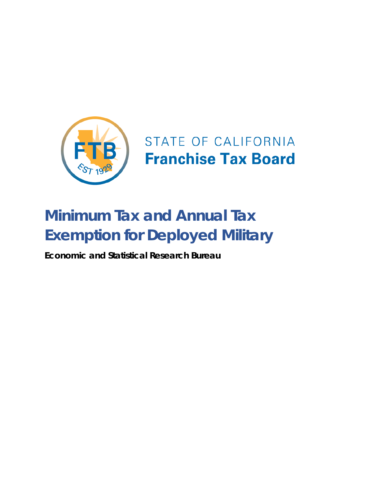

## STATE OF CALIFORNIA **Franchise Tax Board**

# **Minimum Tax and Annual Tax Exemption for Deployed Military**

**Economic and Statistical Research Bureau**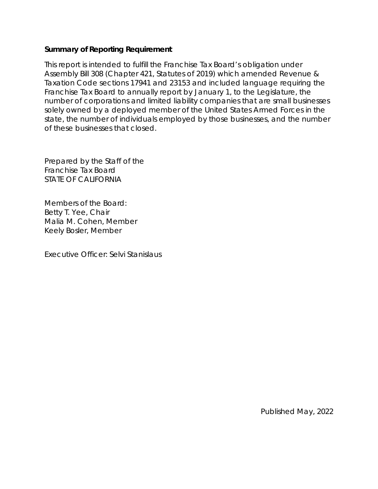#### **Summary of Reporting Requirement**

This report is intended to fulfill the Franchise Tax Board's obligation under Assembly Bill 308 (Chapter 421, Statutes of 2019) which amended Revenue & Taxation Code sections 17941 and 23153 and included language requiring the Franchise Tax Board to annually report by January 1, to the Legislature, the number of corporations and limited liability companies that are small businesses solely owned by a deployed member of the United States Armed Forces in the state, the number of individuals employed by those businesses, and the number of these businesses that closed.

Prepared by the Staff of the Franchise Tax Board STATE OF CALIFORNIA

Members of the Board: Betty T. Yee, Chair Malia M. Cohen, Member Keely Bosler, Member

Executive Officer: Selvi Stanislaus

Published May, 2022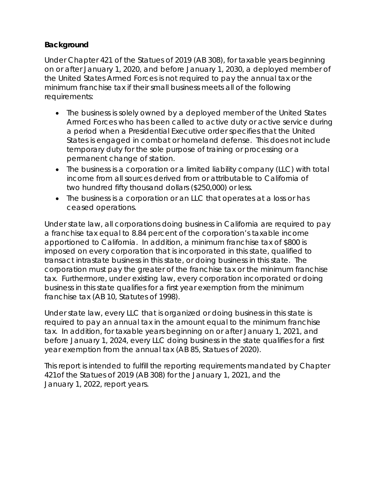#### **Background**

Under Chapter 421 of the Statues of 2019 (AB 308), for taxable years beginning on or after January 1, 2020, and before January 1, 2030, a deployed member of the United States Armed Forces is not required to pay the annual tax or the minimum franchise tax if their small business meets all of the following requirements:

- The business is solely owned by a deployed member of the United States Armed Forces who has been called to active duty or active service during a period when a Presidential Executive order specifies that the United States is engaged in combat or homeland defense. This does not include temporary duty for the sole purpose of training or processing or a permanent change of station.
- The business is a corporation or a limited liability company (LLC) with total income from all sources derived from or attributable to California of two hundred fifty thousand dollars (\$250,000) or less.
- The business is a corporation or an LLC that operates at a loss or has ceased operations.

Under state law, all corporations doing business in California are required to pay a franchise tax equal to 8.84 percent of the corporation's taxable income apportioned to California. In addition, a minimum franchise tax of \$800 is imposed on every corporation that is incorporated in this state, qualified to transact intrastate business in this state, or doing business in this state. The corporation must pay the greater of the franchise tax or the minimum franchise tax. Furthermore, under existing law, every corporation incorporated or doing business in this state qualifies for a first year exemption from the minimum franchise tax (AB 10, Statutes of 1998).

Under state law, every LLC that is organized or doing business in this state is required to pay an annual tax in the amount equal to the minimum franchise tax. In addition, for taxable years beginning on or after January 1, 2021, and before January 1, 2024, every LLC doing business in the state qualifies for a first year exemption from the annual tax (AB 85, Statues of 2020).

This report is intended to fulfill the reporting requirements mandated by Chapter 421of the Statues of 2019 (AB 308) for the January 1, 2021, and the January 1, 2022, report years.